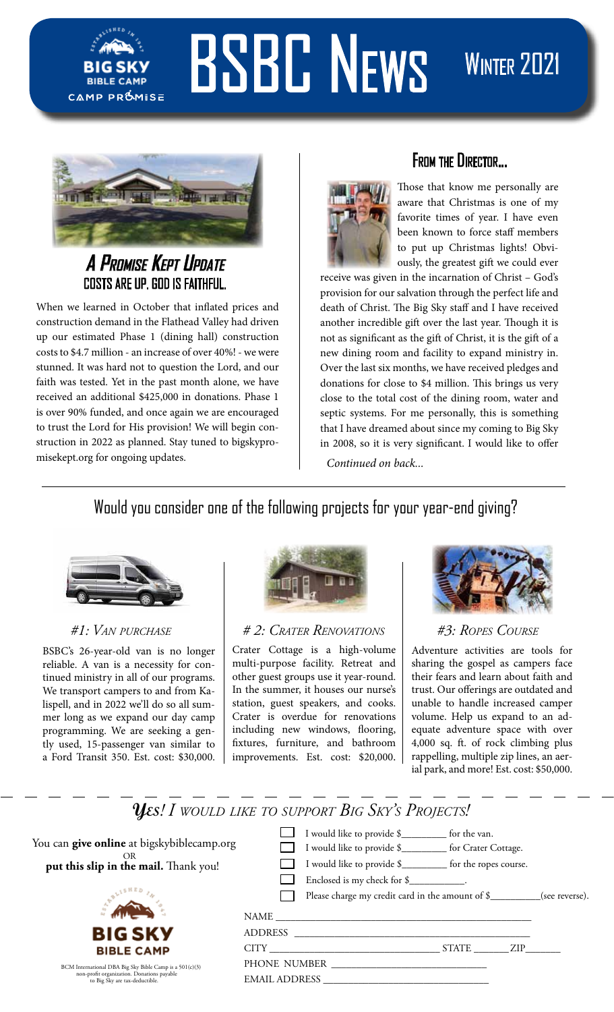

# BSBC NEWS WINTER 2021



# **A Promise Kept Update** COSTS ARE UP. GOD IS FAITHFUL.

When we learned in October that inflated prices and construction demand in the Flathead Valley had driven up our estimated Phase 1 (dining hall) construction costs to \$4.7 million - an increase of over 40%! - we were stunned. It was hard not to question the Lord, and our faith was tested. Yet in the past month alone, we have received an additional \$425,000 in donations. Phase 1 is over 90% funded, and once again we are encouraged to trust the Lord for His provision! We will begin construction in 2022 as planned. Stay tuned to bigskypromisekept.org for ongoing updates.



## $\overline{a}$ From the Director...

Those that know me personally are aware that Christmas is one of my favorite times of year. I have even been known to force staff members to put up Christmas lights! Obviously, the greatest gift we could ever

receive was given in the incarnation of Christ – God's provision for our salvation through the perfect life and death of Christ. The Big Sky staff and I have received another incredible gift over the last year. Though it is not as significant as the gift of Christ, it is the gift of a new dining room and facility to expand ministry in. Over the last six months, we have received pledges and donations for close to \$4 million. This brings us very close to the total cost of the dining room, water and septic systems. For me personally, this is something that I have dreamed about since my coming to Big Sky in 2008, so it is very significant. I would like to offer *Continued on back...*

# Would you consider one of the following projects for your year-end giving?



BSBC's 26-year-old van is no longer reliable. A van is a necessity for continued ministry in all of our programs. We transport campers to and from Kalispell, and in 2022 we'll do so all summer long as we expand our day camp programming. We are seeking a gently used, 15-passenger van similar to a Ford Transit 350. Est. cost: \$30,000.



*#1: Van purchase # 2: Crater Renovations #3: Ropes Course*

Crater Cottage is a high-volume multi-purpose facility. Retreat and other guest groups use it year-round. In the summer, it houses our nurse's station, guest speakers, and cooks. Crater is overdue for renovations including new windows, flooring, fixtures, furniture, and bathroom improvements. Est. cost: \$20,000.



Adventure activities are tools for sharing the gospel as campers face their fears and learn about faith and trust. Our offerings are outdated and unable to handle increased camper volume. Help us expand to an adequate adventure space with over 4,000 sq. ft. of rock climbing plus rappelling, multiple zip lines, an aerial park, and more! Est. cost: \$50,000.

# **Yes***! I would like to support Big Sky's Projects!*

| You can give online at bigskybiblecamp.org<br>OR.<br>put this slip in the mail. Thank you!                                              | I would like to provide \$<br>for the van.<br>I would like to provide \$___________ for Crater Cottage.<br>I would like to provide \$___________ for the ropes course.<br>Enclosed is my check for \$____________.<br>Please charge my credit card in the amount of \$__________(see reverse).<br>ADDRESS AND AND RESIDENCE AND THE STATE OF THE STATE OF THE STATE OF THE STATE OF THE STATE OF THE STATE OF THE STATE OF THE STATE OF THE STATE OF THE STATE OF THE STATE OF THE STATE OF THE STATE OF THE STATE OF THE STATE |     |
|-----------------------------------------------------------------------------------------------------------------------------------------|---------------------------------------------------------------------------------------------------------------------------------------------------------------------------------------------------------------------------------------------------------------------------------------------------------------------------------------------------------------------------------------------------------------------------------------------------------------------------------------------------------------------------------|-----|
| <b>BIG SKY</b><br><b>BIBLE CAMP</b>                                                                                                     | <b>STATE</b><br>CITY THE CITY CONTROL CONTROL CONTROL CONTROL CONTROL CONTROL CONTROL CONTROL CONTROL CONTROL CONTROL CONTROL CONTROL CONTROL CONTROL CONTROL CONTROL CONTROL CONTROL CONTROL CONTROL CONTROL CONTROL CONTROL CONTROL CONTROL                                                                                                                                                                                                                                                                                   | ZIP |
| BCM International DBA Big Sky Bible Camp is a 501(c)(3)<br>non-profit organization. Donations payable<br>to Big Sky are tax-deductible. | PHONE NUMBER<br><b>EMAIL ADDRESS</b>                                                                                                                                                                                                                                                                                                                                                                                                                                                                                            |     |